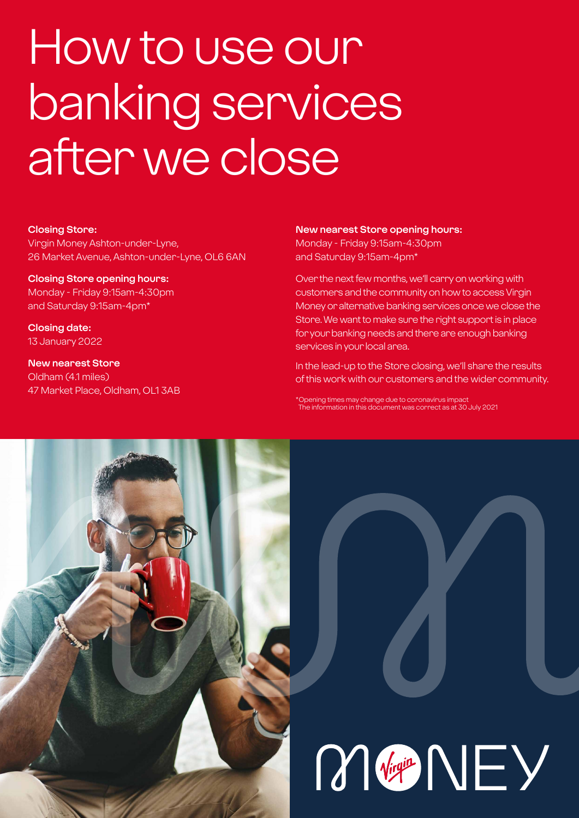# How to use our banking services after we close

#### **Closing Store:**

Virgin Money Ashton-under-Lyne, 26 Market Avenue, Ashton-under-Lyne, OL6 6AN

#### **Closing Store opening hours:**  Monday - Friday 9:15am-4:30pm and Saturday 9:15am-4pm\*

**Closing date:**  13 January 2022

**New nearest Store** Oldham (4.1 miles) 47 Market Place, Oldham, OL1 3AB

#### **New nearest Store opening hours:**

Monday - Friday 9:15am-4:30pm and Saturday 9:15am-4pm\*

Over the next few months, we'll carry on working with customers and the community on how to access Virgin Money or alternative banking services once we close the Store. We want to make sure the right support is in place for your banking needs and there are enough banking services in your local area.

In the lead-up to the Store closing, we'll share the results of this work with our customers and the wider community.

\*Opening times may change due to coronavirus impact The information in this document was correct as at 30 July 2021



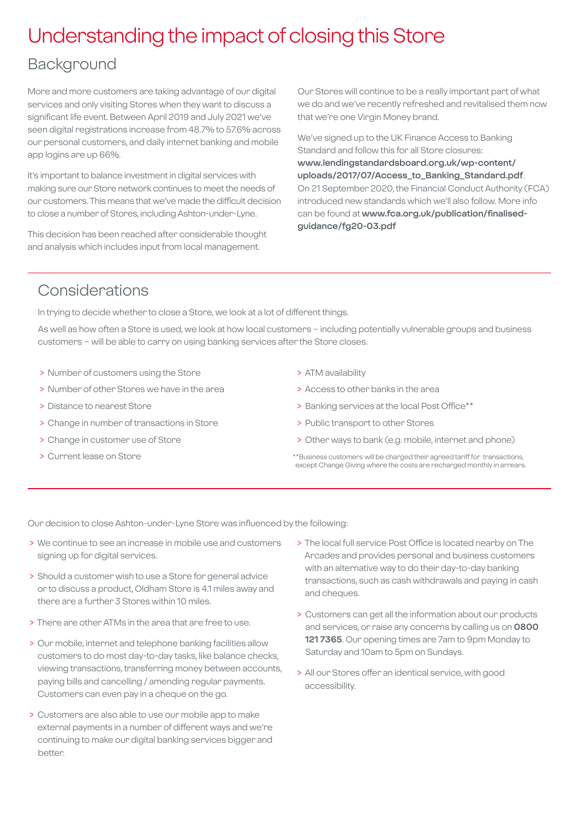## Understanding the impact of closing this Store

## Background

More and more customers are taking advantage of our digital services and only visiting Stores when they want to discuss a significant life event. Between April 2019 and July 2021 we've seen digital registrations increase from 48.7% to 57.6% across our personal customers, and daily internet banking and mobile app logins are up 66%.

It's important to balance investment in digital services with making sure our Store network continues to meet the needs of our customers. This means that we've made the difficult decision to close a number of Stores, including Ashton-under-Lyne.

This decision has been reached after considerable thought and analysis which includes input from local management.

Our Stores will continue to be a really important part of what we do and we've recently refreshed and revitalised them now that we're one Virgin Money brand.

We've signed up to the UK Finance Access to Banking Standard and follow this for all Store closures: **[www.lendingstandardsboard.org.uk/wp-content/](http://www.lendingstandardsboard.org.uk/wp-content/uploads/2017/07/Access_to_Banking_Standard.pdf) [uploads/2017/07/Access\\_to\\_Banking\\_Standard.pdf](http://www.lendingstandardsboard.org.uk/wp-content/uploads/2017/07/Access_to_Banking_Standard.pdf)**. On 21 September 2020, the Financial Conduct Authority (FCA) introduced new standards which we'll also follow. More info can be found at **[www.fca.org.uk/publication/finalised](http://www.fca.org.uk/publication/finalised-guidance/fg20-03.pdf)[guidance/fg20-03.pdf](http://www.fca.org.uk/publication/finalised-guidance/fg20-03.pdf)**

## Considerations

In trying to decide whether to close a Store, we look at a lot of different things.

As well as how often a Store is used, we look at how local customers – including potentially vulnerable groups and business customers – will be able to carry on using banking services after the Store closes.

- > Number of customers using the Store
- > Number of other Stores we have in the area
- > Distance to nearest Store
- > Change in number of transactions in Store
- > Change in customer use of Store
- > Current lease on Store
- > ATM availability
- > Access to other banks in the area
- > Banking services at the local Post Office\*\*
- > Public transport to other Stores
- > Other ways to bank (e.g. mobile, internet and phone)
- \*\*Business customers will be charged their agreed tariff for transactions, except Change Giving where the costs are recharged monthly in arrears.

Our decision to close Ashton-under-Lyne Store was influenced by the following:

- > We continue to see an increase in mobile use and customers signing up for digital services.
- > Should a customer wish to use a Store for general advice or to discuss a product, Oldham Store is 4.1 miles away and there are a further 3 Stores within 10 miles.
- > There are other ATMs in the area that are free to use.
- > Our mobile, internet and telephone banking facilities allow customers to do most day-to-day tasks, like balance checks, viewing transactions, transferring money between accounts, paying bills and cancelling / amending regular payments. Customers can even pay in a cheque on the go.
- > Customers are also able to use our mobile app to make external payments in a number of different ways and we're continuing to make our digital banking services bigger and better.
- > The local full service Post Office is located nearby on The Arcades and provides personal and business customers with an alternative way to do their day-to-day banking transactions, such as cash withdrawals and paying in cash and cheques.
- > Customers can get all the information about our products and services, or raise any concerns by calling us on **0800 121 7365**. Our opening times are 7am to 9pm Monday to Saturday and 10am to 5pm on Sundays.
- > All our Stores offer an identical service, with good accessibility.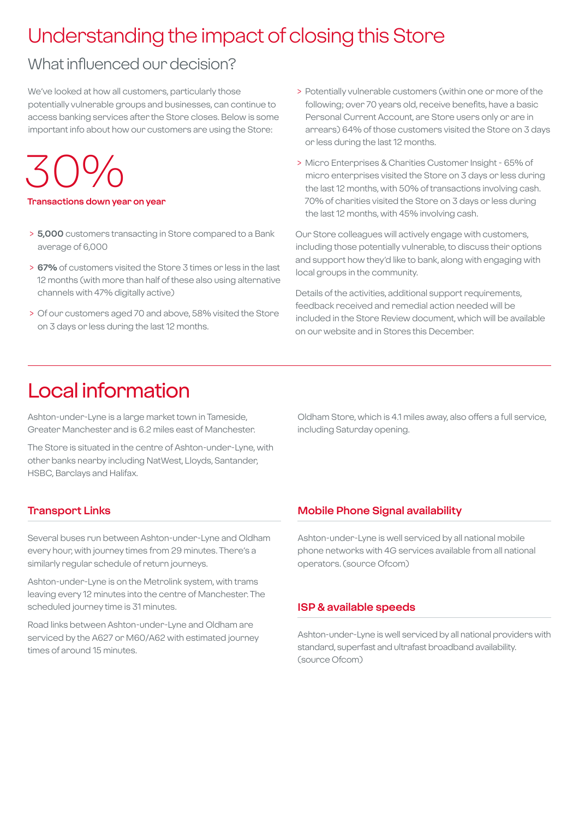## Understanding the impact of closing this Store

## What influenced our decision?

We've looked at how all customers, particularly those potentially vulnerable groups and businesses, can continue to access banking services after the Store closes. Below is some important info about how our customers are using the Store:

30%

**Transactions down year on year**

- > **5,000** customers transacting in Store compared to a Bank average of 6,000
- > **67%** of customers visited the Store 3 times or less in the last 12 months (with more than half of these also using alternative channels with 47% digitally active)
- > Of our customers aged 70 and above, 58% visited the Store on 3 days or less during the last 12 months.
- > Potentially vulnerable customers (within one or more of the following; over 70 years old, receive benefits, have a basic Personal Current Account, are Store users only or are in arrears) 64% of those customers visited the Store on 3 days or less during the last 12 months.
- > Micro Enterprises & Charities Customer Insight 65% of micro enterprises visited the Store on 3 days or less during the last 12 months, with 50% of transactions involving cash. 70% of charities visited the Store on 3 days or less during the last 12 months, with 45% involving cash.

Our Store colleagues will actively engage with customers, including those potentially vulnerable, to discuss their options and support how they'd like to bank, along with engaging with local groups in the community.

Details of the activities, additional support requirements, feedback received and remedial action needed will be included in the Store Review document, which will be available on our website and in Stores this December.

## Local information

Ashton-under-Lyne is a large market town in Tameside, Greater Manchester and is 6.2 miles east of Manchester.

The Store is situated in the centre of Ashton-under-Lyne, with other banks nearby including NatWest, Lloyds, Santander, HSBC, Barclays and Halifax.

Oldham Store, which is 4.1 miles away, also offers a full service, including Saturday opening.

#### **Transport Links**

Several buses run between Ashton-under-Lyne and Oldham every hour, with journey times from 29 minutes. There's a similarly regular schedule of return journeys.

Ashton-under-Lyne is on the Metrolink system, with trams leaving every 12 minutes into the centre of Manchester. The scheduled journey time is 31 minutes.

Road links between Ashton-under-Lyne and Oldham are serviced by the A627 or M60/A62 with estimated journey times of around 15 minutes.

#### **Mobile Phone Signal availability**

Ashton-under-Lyne is well serviced by all national mobile phone networks with 4G services available from all national operators. (source Ofcom)

#### **ISP & available speeds**

Ashton-under-Lyne is well serviced by all national providers with standard, superfast and ultrafast broadband availability. (source Ofcom)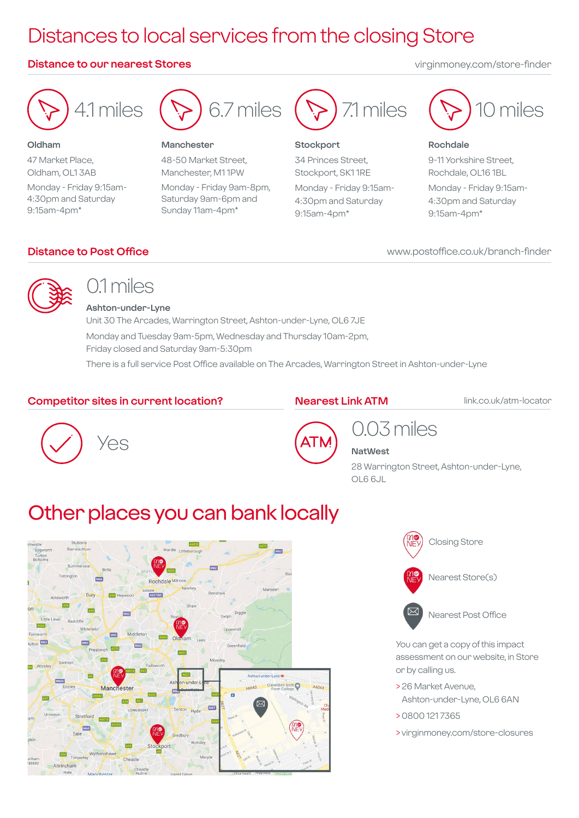## Distances to local services from the closing Store

#### **Distance to our nearest Stores** virginmoney.com/store-finder



#### **Oldham** 47 Market Place, Oldham, OL1 3AB Monday - Friday 9:15am-4:30pm and Saturday 9:15am-4pm\*



#### **Manchester**

48-50 Market Street, Manchester, M1 1PW Monday - Friday 9am-8pm, Saturday 9am-6pm and Sunday 11am-4pm\*



#### **Stockport**

34 Princes Street, Stockport, SK1 1RE Monday - Friday 9:15am-4:30pm and Saturday 9:15am-4pm\*



#### **Rochdale**

9-11 Yorkshire Street, Rochdale, OL16 1BL Monday - Friday 9:15am-4:30pm and Saturday 9:15am-4pm\*

www.postoffice.co.uk/branch-finder

#### **Distance to Post Office**



## 0.1 miles

**Ashton-under-Lyne** Unit 30 The Arcades, Warrington Street, Ashton-under-Lyne, OL6 7JE Monday and Tuesday 9am-5pm, Wednesday and Thursday 10am-2pm, Friday closed and Saturday 9am-5:30pm

There is a full service Post Office available on The Arcades, Warrington Street in Ashton-under-Lyne

#### **Competitor sites in current location?**

#### **Nearest Link ATM**

link.co.uk/atm-locator





### 0.03 miles **NatWest**

28 Warrington Street, Ashton-under-Lyne, OL6 6JL

## Other places you can bank locally







You can get a copy of this impact assessment on our website, in Store or by calling us.

- > 26 Market Avenue, Ashton-under-Lyne, OL6 6AN
- > 0800 121 7365
- > virginmoney.com/store-closures